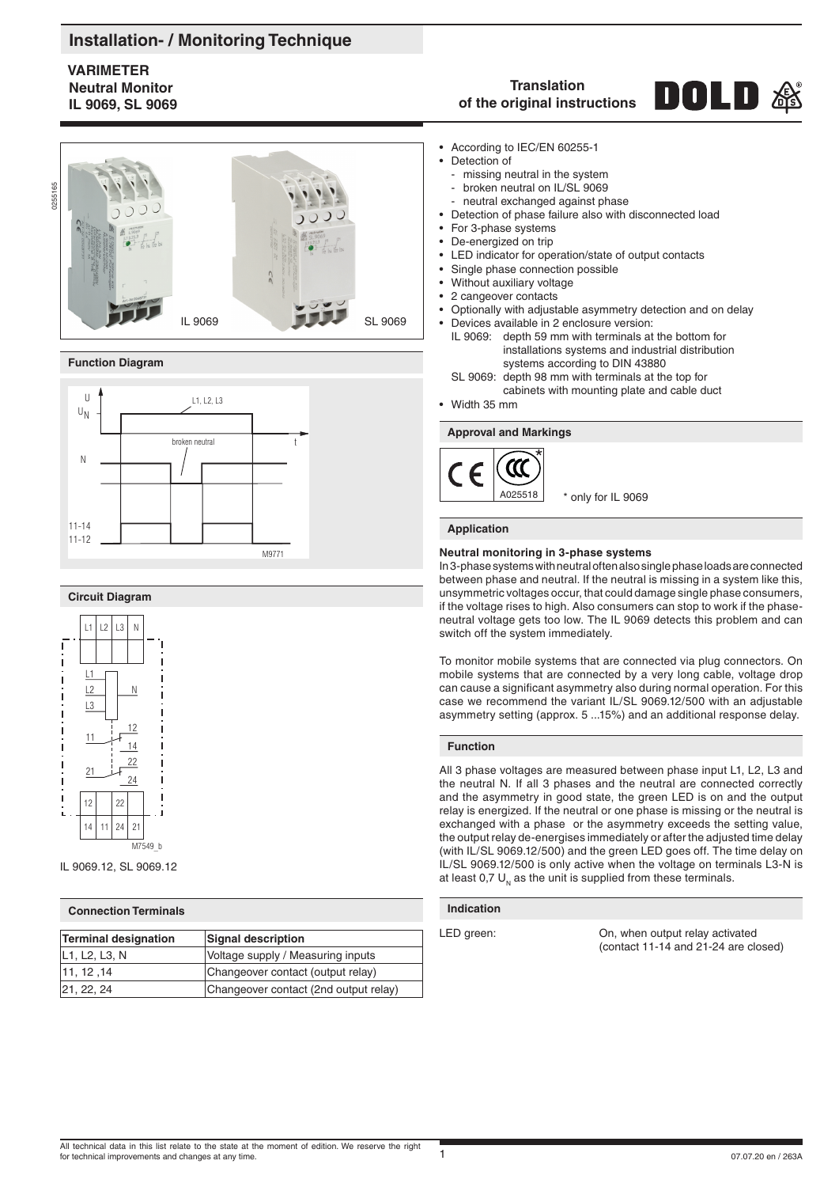## **Installation- / Monitoring Technique**

### **VARIMETER Neutral Monitor IL 9069, SL 9069**



#### **Function Diagram**



#### **Circuit Diagram**



IL 9069.12, SL 9069.12

#### **Connection Terminals**

| <b>Terminal designation</b> | Signal description                    |
|-----------------------------|---------------------------------------|
| L1, L2, L3, N               | Voltage supply / Measuring inputs     |
| 11.12.14                    | Changeover contact (output relay)     |
| 21, 22, 24                  | Changeover contact (2nd output relay) |

#### **Translation** DOLD **of the original instructions**

- According to IEC/EN 60255-1
- Detection of
	- missing neutral in the system broken neutral on IL/SL 9069
	- neutral exchanged against phase
- Detection of phase failure also with disconnected load
- For 3-phase systems
- De-energized on trip
- LED indicator for operation/state of output contacts
- Single phase connection possible
- Without auxiliary voltage
- 2 cangeover contacts
- Optionally with adjustable asymmetry detection and on delay • Devices available in 2 enclosure version:
	- IL 9069: depth 59 mm with terminals at the bottom for installations systems and industrial distribution systems according to DIN 43880
	- SL 9069: depth 98 mm with terminals at the top for cabinets with mounting plate and cable duct
- Width 35 mm

#### **Approval and Markings**



#### **Application**

#### **Neutral monitoring in 3-phase systems**

In 3-phase systems with neutral often also single phase loads are connected between phase and neutral. If the neutral is missing in a system like this, unsymmetric voltages occur, that could damage single phase consumers, if the voltage rises to high. Also consumers can stop to work if the phaseneutral voltage gets too low. The IL 9069 detects this problem and can switch off the system immediately.

To monitor mobile systems that are connected via plug connectors. On mobile systems that are connected by a very long cable, voltage drop can cause a significant asymmetry also during normal operation. For this case we recommend the variant IL/SL 9069.12/500 with an adjustable asymmetry setting (approx. 5 ...15%) and an additional response delay.

#### **Function**

All 3 phase voltages are measured between phase input L1, L2, L3 and the neutral N. If all 3 phases and the neutral are connected correctly and the asymmetry in good state, the green LED is on and the output relay is energized. If the neutral or one phase is missing or the neutral is exchanged with a phase or the asymmetry exceeds the setting value, the output relay de-energises immediately or after the adjusted time delay (with IL/SL 9069.12/500) and the green LED goes off. The time delay on IL/SL 9069.12/500 is only active when the voltage on terminals L3-N is at least 0,7  $U_{N}$  as the unit is supplied from these terminals.

#### **Indication**

LED green: CD, when output relay activated (contact 11-14 and 21-24 are closed)